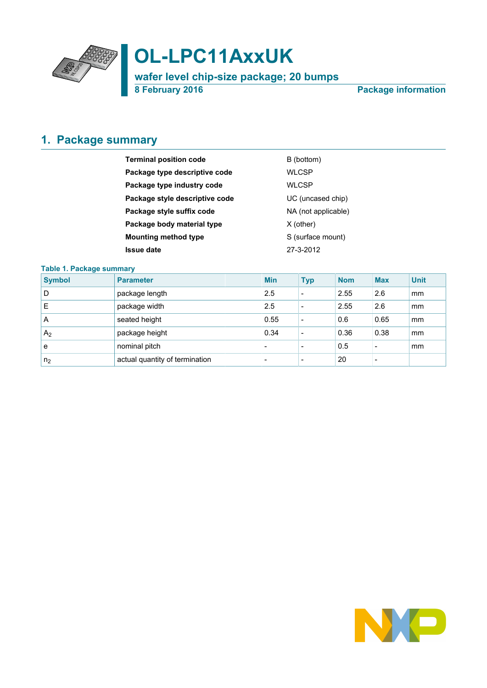

# **OL-LPC11AxxUK**

**wafer level chip-size package; 20 bumps**

**8 February 2016 Package information**

### <span id="page-0-0"></span>**1. Package summary**

| <b>Terminal position code</b>  | B (bottom)          |
|--------------------------------|---------------------|
| Package type descriptive code  | WLCSP               |
| Package type industry code     | <b>WLCSP</b>        |
| Package style descriptive code | UC (uncased chip)   |
| Package style suffix code      | NA (not applicable) |
| Package body material type     | $X$ (other)         |
| <b>Mounting method type</b>    | S (surface mount)   |
| <b>Issue date</b>              | 27-3-2012           |

#### **Table 1. Package summary**

| <b>Symbol</b>  | <b>Parameter</b>               | <b>Min</b>               | <b>Typ</b>               | <b>Nom</b> | <b>Max</b>               | <b>Unit</b> |
|----------------|--------------------------------|--------------------------|--------------------------|------------|--------------------------|-------------|
| D              | package length                 | 2.5                      | $\overline{\phantom{a}}$ | 2.55       | 2.6                      | mm          |
| Е              | package width                  | 2.5                      | $\overline{\phantom{a}}$ | 2.55       | 2.6                      | mm          |
| A              | seated height                  | 0.55                     | $\overline{\phantom{a}}$ | 0.6        | 0.65                     | mm          |
| A <sub>2</sub> | package height                 | 0.34                     | $\overline{\phantom{a}}$ | 0.36       | 0.38                     | mm          |
| e              | nominal pitch                  | $\overline{\phantom{0}}$ | $\overline{\phantom{a}}$ | 0.5        | $\overline{\phantom{a}}$ | mm          |
| n <sub>2</sub> | actual quantity of termination | $\overline{\phantom{0}}$ | $\overline{\phantom{a}}$ | 20         | -                        |             |

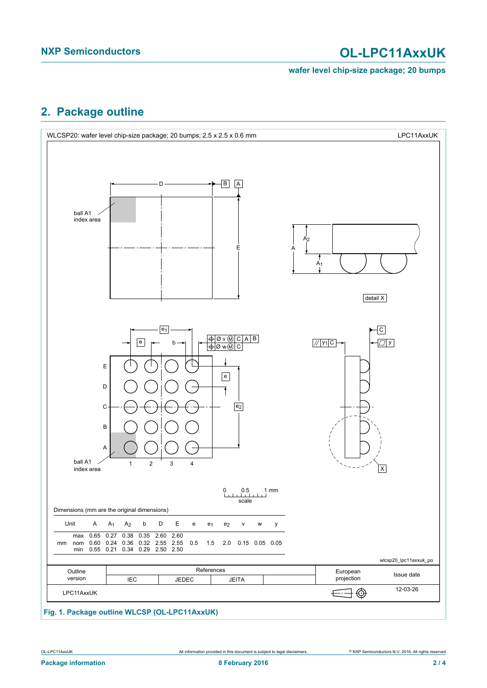# **NXP Semiconductors OL-LPC11AxxUK**

#### **wafer level chip-size package; 20 bumps**

### <span id="page-1-0"></span>**2. Package outline**



### **Fig. 1. Package outline WLCSP (OL-LPC11AxxUK)**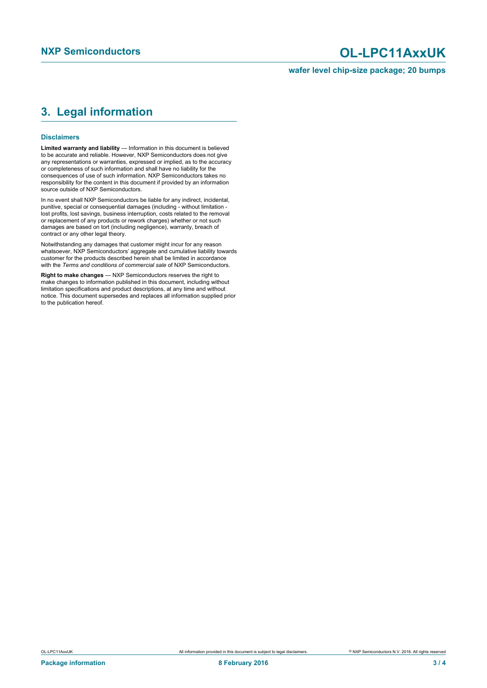## **NXP Semiconductors OL-LPC11AxxUK**

**wafer level chip-size package; 20 bumps**

### <span id="page-2-0"></span>**3. Legal information**

#### **Disclaimers**

**Limited warranty and liability** — Information in this document is believed to be accurate and reliable. However, NXP Semiconductors does not give any representations or warranties, expressed or implied, as to the accuracy or completeness of such information and shall have no liability for the consequences of use of such information. NXP Semiconductors takes no responsibility for the content in this document if provided by an information source outside of NXP Semiconductors.

In no event shall NXP Semiconductors be liable for any indirect, incidental, punitive, special or consequential damages (including - without limitation lost profits, lost savings, business interruption, costs related to the removal or replacement of any products or rework charges) whether or not such damages are based on tort (including negligence), warranty, breach of contract or any other legal theory.

Notwithstanding any damages that customer might incur for any reason whatsoever, NXP Semiconductors' aggregate and cumulative liability towards customer for the products described herein shall be limited in accordance with the *Terms and conditions of commercial sale* of NXP Semiconductors.

**Right to make changes** — NXP Semiconductors reserves the right to make changes to information published in this document, including without limitation specifications and product descriptions, at any time and without notice. This document supersedes and replaces all information supplied prior to the publication hereof.